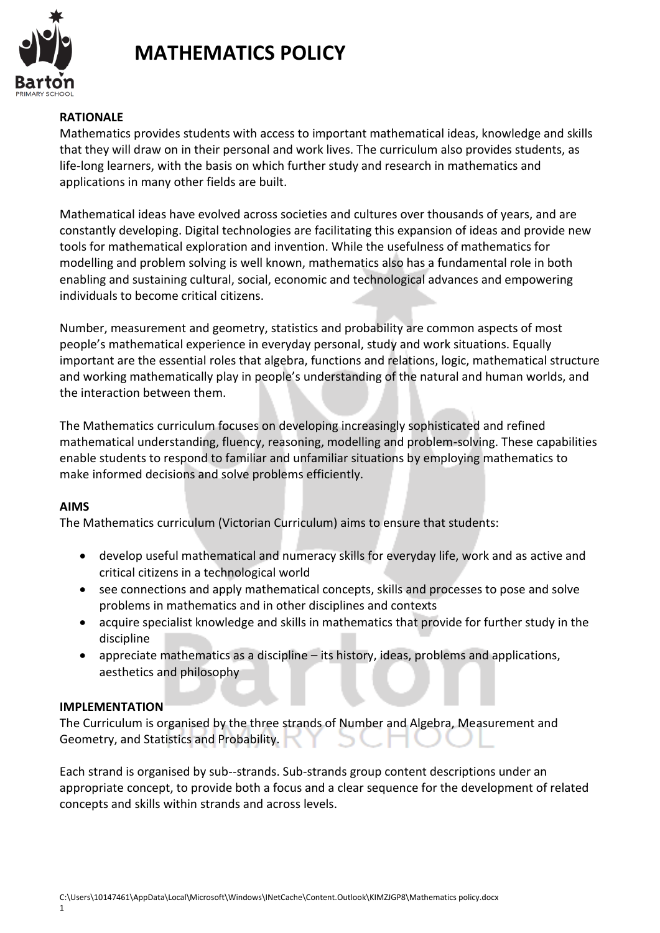

## **MATHEMATICS POLICY**

### **RATIONALE**

Mathematics provides students with access to important mathematical ideas, knowledge and skills that they will draw on in their personal and work lives. The curriculum also provides students, as life-long learners, with the basis on which further study and research in mathematics and applications in many other fields are built.

Mathematical ideas have evolved across societies and cultures over thousands of years, and are constantly developing. Digital technologies are facilitating this expansion of ideas and provide new tools for mathematical exploration and invention. While the usefulness of mathematics for modelling and problem solving is well known, mathematics also has a fundamental role in both enabling and sustaining cultural, social, economic and technological advances and empowering individuals to become critical citizens.

Number, measurement and geometry, statistics and probability are common aspects of most people's mathematical experience in everyday personal, study and work situations. Equally important are the essential roles that algebra, functions and relations, logic, mathematical structure and working mathematically play in people's understanding of the natural and human worlds, and the interaction between them.

The Mathematics curriculum focuses on developing increasingly sophisticated and refined mathematical understanding, fluency, reasoning, modelling and problem-solving. These capabilities enable students to respond to familiar and unfamiliar situations by employing mathematics to make informed decisions and solve problems efficiently.

#### **AIMS**

The Mathematics curriculum (Victorian Curriculum) aims to ensure that students:

- develop useful mathematical and numeracy skills for everyday life, work and as active and critical citizens in a technological world
- see connections and apply mathematical concepts, skills and processes to pose and solve problems in mathematics and in other disciplines and contexts
- acquire specialist knowledge and skills in mathematics that provide for further study in the discipline
- appreciate mathematics as a discipline its history, ideas, problems and applications, aesthetics and philosophy

#### **IMPLEMENTATION**

The Curriculum is organised by the three strands of Number and Algebra, Measurement and Geometry, and Statistics and Probability.

Each strand is organised by sub--strands. Sub-strands group content descriptions under an appropriate concept, to provide both a focus and a clear sequence for the development of related concepts and skills within strands and across levels.